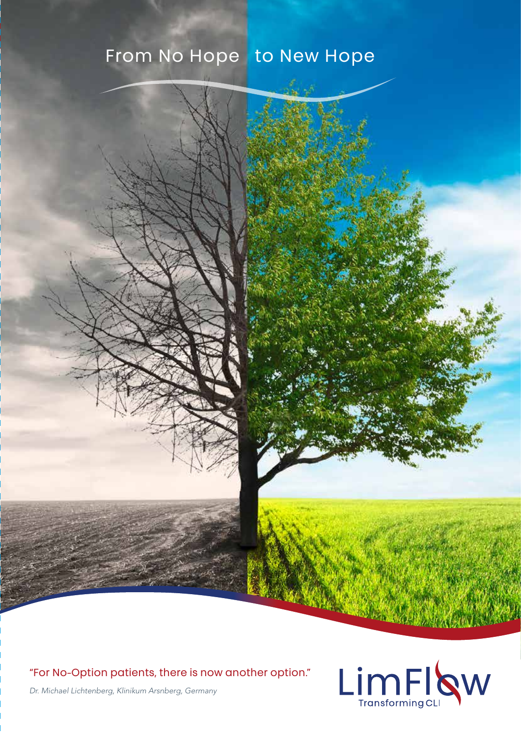# From No Hope to New Hope

### "For No-Option patients, there is now another option."



*Dr. Michael Lichtenberg, Klinikum Arsnberg, Germany*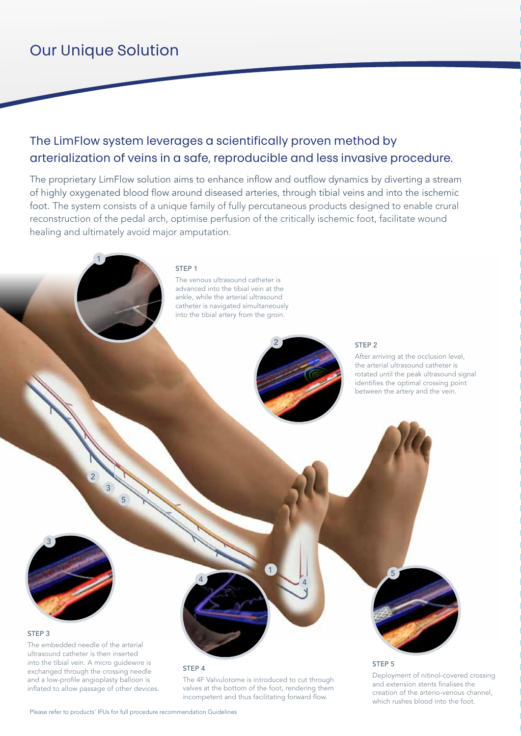# Our Unique Solution

1

1

## The LimFlow system leverages a scientifically proven method by arterialization of veins in a safe, reproducible and less invasive procedure.

The proprietary LimFlow solution aims to enhance inflow and outflow dynamics by diverting a stream of highly oxygenated blood flow around diseased arteries, through tibial veins and into the ischemic foot. The system consists of a unique family of fully percutaneous products designed to enable crural reconstruction of the pedal arch, optimise perfusion of the critically ischemic foot, facilitate wound healing and ultimately avoid major amputation.

### STEP<sub>1</sub>

The venous ultrasound catheter is advanced into the tibial vein at the ankle, while the arterial ultrasound catheter is navigated simultaneously into the tibial artery from the groin.



2

### STEP 2

After arriving at the occlusion level, the arterial ultrasound catheter is rotated until the peak ultrasound signal identifies the optimal crossing point between the artery and the vein.

3

### STEP 3

The embedded needle of the arterial ultrasound catheter is then inserted into the tibial vein. A micro guidewire is exchanged through the crossing needle and a low-profile angioplasty balloon is inflated to allow passage of other devices.

 $\overline{2}$ 

3

5

### STEP 4

4

The 4F Valvulotome is introduced to cut through valves at the bottom of the foot, rendering them incompetent and thus facilitating forward flow.

1

4

# 5

### STEP 5

Deployment of nitinol-covered crossing and extension stents finalises the creation of the arterio-venous channel, which rushes blood into the foot.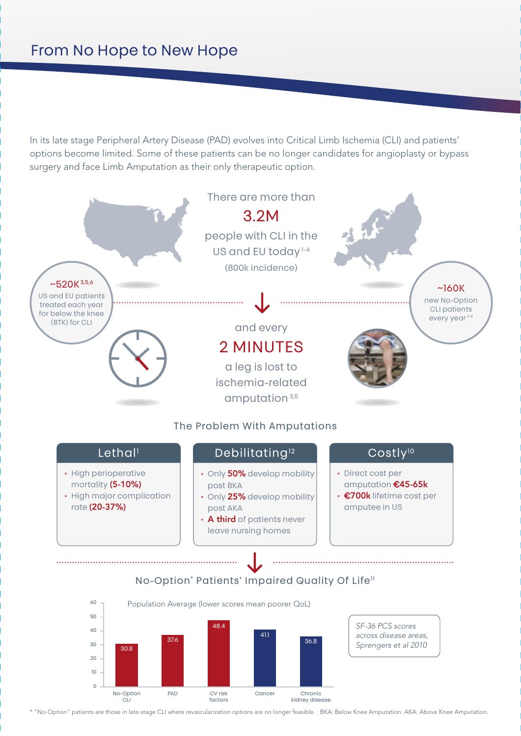In its late stage Peripheral Artery Disease (PAD) evolves into Critical Limb Ischemia (CLI) and patients' options become limited. Some of these patients can be no longer candidates for angioplasty or bypass surgery and face Limb Amputation as their only therapeutic option.



\* "No-Option" patients are those in late-stage CLI where revascularization options are no longer feasible. BKA: Below Knee Amputation. AKA: Above Knee Amputation.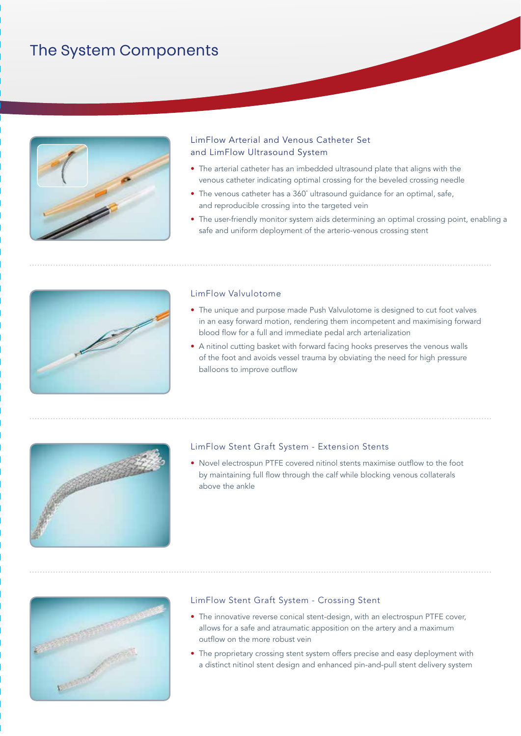# The System Components



### LimFlow Arterial and Venous Catheter Set and LimFlow Ultrasound System

- The arterial catheter has an imbedded ultrasound plate that aligns with the venous catheter indicating optimal crossing for the beveled crossing needle
- The venous catheter has a 360˚ ultrasound guidance for an optimal, safe, and reproducible crossing into the targeted vein
- The user-friendly monitor system aids determining an optimal crossing point, enabling a safe and uniform deployment of the arterio-venous crossing stent



### LimFlow Valvulotome

- The unique and purpose made Push Valvulotome is designed to cut foot valves in an easy forward motion, rendering them incompetent and maximising forward blood flow for a full and immediate pedal arch arterialization
- A nitinol cutting basket with forward facing hooks preserves the venous walls of the foot and avoids vessel trauma by obviating the need for high pressure balloons to improve outflow



### LimFlow Stent Graft System - Extension Stents

• Novel electrospun PTFE covered nitinol stents maximise outflow to the foot by maintaining full flow through the calf while blocking venous collaterals above the ankle



### LimFlow Stent Graft System - Crossing Stent

- The innovative reverse conical stent-design, with an electrospun PTFE cover, allows for a safe and atraumatic apposition on the artery and a maximum outflow on the more robust vein
- The proprietary crossing stent system offers precise and easy deployment with a distinct nitinol stent design and enhanced pin-and-pull stent delivery system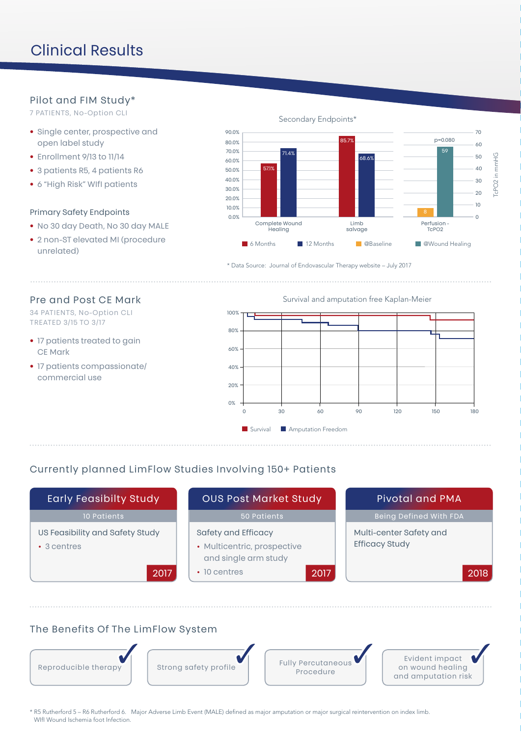# Clinical Results

### Pilot and FIM Study\*

7 PATIENTS, No-Option CLI

- Single center, prospective and open label study
- Enrollment 9/13 to 11/14
- 3 patients R5, 4 patients R6
- 6 "High Risk" WIfI patients

### Primary Safety Endpoints

- No 30 day Death, No 30 day MALE
- 2 non-ST elevated MI (procedure unrelated)

Secondary Endpoints\*



\* Data Source: Journal of Endovascular Therapy website – July 2017

### Pre and Post CE Mark

34 PATIENTS, No-Option CLI TREATED 3/15 TO 3/17

- 17 patients treated to gain CE Mark
- 17 patients compassionate/ commercial use

Survival and amputation free Kaplan-Meier



### Currently planned LimFlow Studies Involving 150+ Patients

| <b>Early Feasibilty Study</b>                        | <b>OUS Post Market Study</b>                                               | <b>Pivotal and PMA</b>                           |  |
|------------------------------------------------------|----------------------------------------------------------------------------|--------------------------------------------------|--|
| 10 Patients                                          | 50 Patients                                                                | Being Defined With FDA                           |  |
| US Feasibility and Safety Study<br>$\cdot$ 3 centres | Safety and Efficacy<br>• Multicentric, prospective<br>and single arm study | Multi-center Safety and<br><b>Efficacy Study</b> |  |
| 2017                                                 | $\cdot$ 10 centres<br>2017                                                 | 2018                                             |  |

### The Benefits Of The LimFlow System



\* R5 Rutherford 5 – R6 Rutherford 6. Major Adverse Limb Event (MALE) defined as major amputation or major surgical reintervention on index limb. WIfI Wound Ischemia foot Infection.